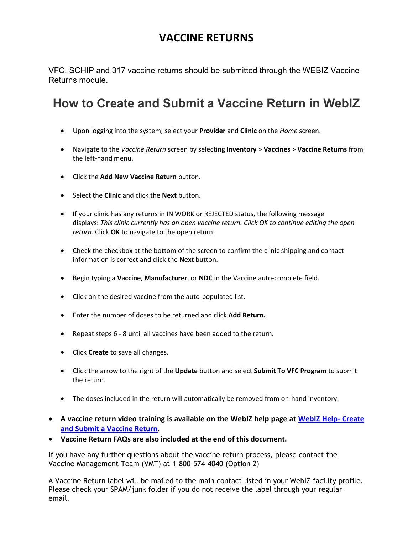# **VACCINE RETURNS**

VFC, SCHIP and 317 vaccine returns should be submitted through the WEBIZ Vaccine Returns module.

# **How to Create and Submit a Vaccine Return in WebIZ**

- Upon logging into the system, select your **Provider** and **Clinic** on the *Home* screen.
- Navigate to the *Vaccine Return* screen by selecting **Inventory** > **Vaccines** > **Vaccine Returns** from the left-hand menu.
- Click the **Add New Vaccine Return** button.
- Select the **Clinic** and click the **Next** button.
- If your clinic has any returns in IN WORK or REJECTED status, the following message displays: *This clinic currently has an open vaccine return. Click OK to continue editing the open return.* Click **OK** to navigate to the open return.
- Check the checkbox at the bottom of the screen to confirm the clinic shipping and contact information is correct and click the **Next** button.
- Begin typing a **Vaccine**, **Manufacturer**, or **NDC** in the Vaccine auto-complete field.
- Click on the desired vaccine from the auto-populated list.
- Enter the number of doses to be returned and click **Add Return.**
- Repeat steps 6 8 until all vaccines have been added to the return.
- Click **Create** to save all changes.
- Click the arrow to the right of the **Update** button and select **Submit To VFC Program** to submit the return.
- The doses included in the return will automatically be removed from on-hand inventory.
- **A vaccine return video training is available on the WebIZ help page at [WebIZ Help-](https://adhimmreglive.arkansas.gov/webiznet/Application/ApplicationHelp/ViewTask?identifier=324188b7-5566-e611-80d1-14187750fca0) Create [and Submit a Vaccine Return.](https://adhimmreglive.arkansas.gov/webiznet/Application/ApplicationHelp/ViewTask?identifier=324188b7-5566-e611-80d1-14187750fca0)**
- **Vaccine Return FAQs are also included at the end of this document.**

If you have any further questions about the vaccine return process, please contact the Vaccine Management Team (VMT) at 1-800-574-4040 (Option 2)

A Vaccine Return label will be mailed to the main contact listed in your WebIZ facility profile. Please check your SPAM/junk folder if you do not receive the label through your regular email.